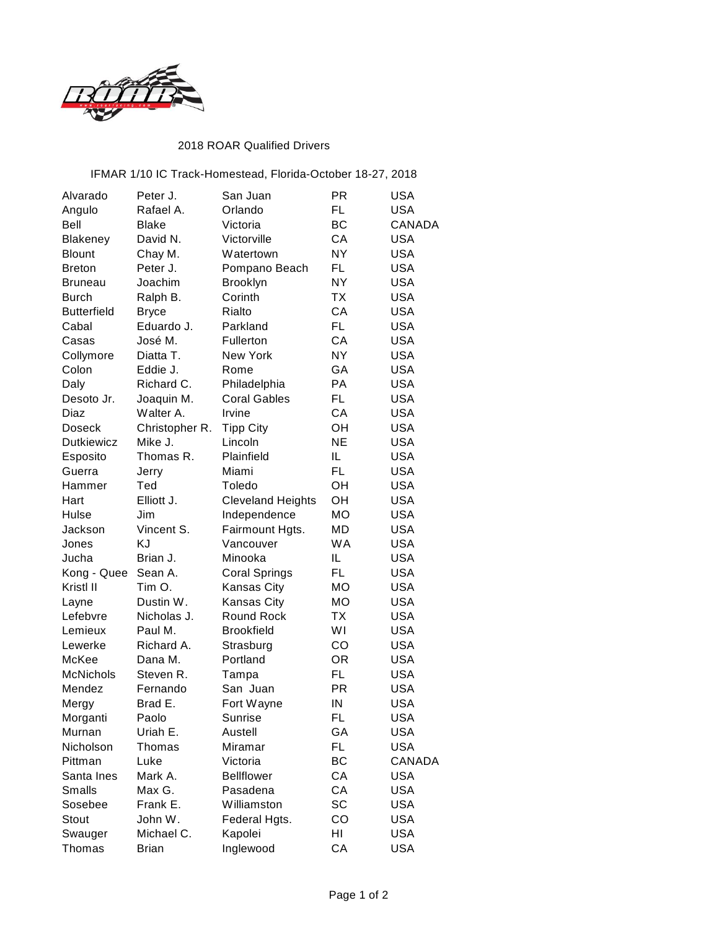

## 2018 ROAR Qualified Drivers

## IFMAR 1/10 IC Track-Homestead, Florida-October 18-27, 2018

| Rafael A.<br>Orlando<br>FL<br><b>USA</b><br>Angulo<br><b>Bell</b><br>ВC<br><b>CANADA</b><br>Blake<br>Victoria<br>David N.<br>СA<br><b>USA</b><br>Blakeney<br>Victorville<br>Chay M.<br>NY.<br><b>USA</b><br><b>Blount</b><br>Watertown<br>Peter J.<br>FL<br><b>USA</b><br><b>Breton</b><br>Pompano Beach<br><b>NY</b><br>Joachim<br><b>USA</b><br>Brooklyn<br><b>Bruneau</b><br>Corinth<br>ТX<br><b>USA</b><br><b>Burch</b><br>Ralph B.<br>CA<br><b>USA</b><br>Rialto<br><b>Butterfield</b><br><b>Bryce</b><br>FL.<br><b>USA</b><br>Eduardo J.<br>Cabal<br>Parkland<br>CA<br>José M.<br><b>USA</b><br>Casas<br>Fullerton<br>New York<br>NY.<br><b>USA</b><br>Collymore<br>Diatta T.<br>Colon<br>Eddie J.<br>GA<br><b>USA</b><br>Rome<br>Daly<br>PA<br><b>USA</b><br>Richard C.<br>Philadelphia<br><b>FL</b><br>Joaquin M.<br><b>Coral Gables</b><br><b>USA</b><br>Desoto Jr.<br>CA<br>Diaz<br>Walter A.<br>Irvine<br><b>USA</b><br><b>USA</b><br>Christopher R.<br>OН<br><b>Doseck</b><br><b>Tipp City</b><br><b>USA</b><br><b>Dutkiewicz</b><br>Mike J.<br>Lincoln<br><b>NE</b><br>Thomas R.<br>Plainfield<br>IL<br><b>USA</b><br>Esposito<br><b>FL</b><br><b>USA</b><br>Guerra<br>Miami<br>Jerry<br><b>USA</b><br>Ted<br>Toledo<br>OН<br>Hammer<br>Elliott J.<br><b>Cleveland Heights</b><br>OH<br><b>USA</b><br>Hart<br>Jim<br>Independence<br><b>MO</b><br><b>USA</b><br>Hulse<br>Jackson<br>Vincent S.<br>Fairmount Hgts.<br>MD<br><b>USA</b><br>KJ<br>Vancouver<br><b>WA</b><br><b>USA</b><br>Jones<br><b>USA</b><br>Brian J.<br>IL<br>Jucha<br>Minooka<br>FL.<br><b>USA</b><br>Sean A.<br>Kong - Quee<br><b>Coral Springs</b><br>Kristl II<br>Tim O.<br>Kansas City<br>MO<br><b>USA</b> |
|------------------------------------------------------------------------------------------------------------------------------------------------------------------------------------------------------------------------------------------------------------------------------------------------------------------------------------------------------------------------------------------------------------------------------------------------------------------------------------------------------------------------------------------------------------------------------------------------------------------------------------------------------------------------------------------------------------------------------------------------------------------------------------------------------------------------------------------------------------------------------------------------------------------------------------------------------------------------------------------------------------------------------------------------------------------------------------------------------------------------------------------------------------------------------------------------------------------------------------------------------------------------------------------------------------------------------------------------------------------------------------------------------------------------------------------------------------------------------------------------------------------------------------------------------------------------------------------------------------------------------------------------------------------------------------------------|
|                                                                                                                                                                                                                                                                                                                                                                                                                                                                                                                                                                                                                                                                                                                                                                                                                                                                                                                                                                                                                                                                                                                                                                                                                                                                                                                                                                                                                                                                                                                                                                                                                                                                                                |
|                                                                                                                                                                                                                                                                                                                                                                                                                                                                                                                                                                                                                                                                                                                                                                                                                                                                                                                                                                                                                                                                                                                                                                                                                                                                                                                                                                                                                                                                                                                                                                                                                                                                                                |
|                                                                                                                                                                                                                                                                                                                                                                                                                                                                                                                                                                                                                                                                                                                                                                                                                                                                                                                                                                                                                                                                                                                                                                                                                                                                                                                                                                                                                                                                                                                                                                                                                                                                                                |
|                                                                                                                                                                                                                                                                                                                                                                                                                                                                                                                                                                                                                                                                                                                                                                                                                                                                                                                                                                                                                                                                                                                                                                                                                                                                                                                                                                                                                                                                                                                                                                                                                                                                                                |
|                                                                                                                                                                                                                                                                                                                                                                                                                                                                                                                                                                                                                                                                                                                                                                                                                                                                                                                                                                                                                                                                                                                                                                                                                                                                                                                                                                                                                                                                                                                                                                                                                                                                                                |
|                                                                                                                                                                                                                                                                                                                                                                                                                                                                                                                                                                                                                                                                                                                                                                                                                                                                                                                                                                                                                                                                                                                                                                                                                                                                                                                                                                                                                                                                                                                                                                                                                                                                                                |
|                                                                                                                                                                                                                                                                                                                                                                                                                                                                                                                                                                                                                                                                                                                                                                                                                                                                                                                                                                                                                                                                                                                                                                                                                                                                                                                                                                                                                                                                                                                                                                                                                                                                                                |
|                                                                                                                                                                                                                                                                                                                                                                                                                                                                                                                                                                                                                                                                                                                                                                                                                                                                                                                                                                                                                                                                                                                                                                                                                                                                                                                                                                                                                                                                                                                                                                                                                                                                                                |
|                                                                                                                                                                                                                                                                                                                                                                                                                                                                                                                                                                                                                                                                                                                                                                                                                                                                                                                                                                                                                                                                                                                                                                                                                                                                                                                                                                                                                                                                                                                                                                                                                                                                                                |
|                                                                                                                                                                                                                                                                                                                                                                                                                                                                                                                                                                                                                                                                                                                                                                                                                                                                                                                                                                                                                                                                                                                                                                                                                                                                                                                                                                                                                                                                                                                                                                                                                                                                                                |
|                                                                                                                                                                                                                                                                                                                                                                                                                                                                                                                                                                                                                                                                                                                                                                                                                                                                                                                                                                                                                                                                                                                                                                                                                                                                                                                                                                                                                                                                                                                                                                                                                                                                                                |
|                                                                                                                                                                                                                                                                                                                                                                                                                                                                                                                                                                                                                                                                                                                                                                                                                                                                                                                                                                                                                                                                                                                                                                                                                                                                                                                                                                                                                                                                                                                                                                                                                                                                                                |
|                                                                                                                                                                                                                                                                                                                                                                                                                                                                                                                                                                                                                                                                                                                                                                                                                                                                                                                                                                                                                                                                                                                                                                                                                                                                                                                                                                                                                                                                                                                                                                                                                                                                                                |
|                                                                                                                                                                                                                                                                                                                                                                                                                                                                                                                                                                                                                                                                                                                                                                                                                                                                                                                                                                                                                                                                                                                                                                                                                                                                                                                                                                                                                                                                                                                                                                                                                                                                                                |
|                                                                                                                                                                                                                                                                                                                                                                                                                                                                                                                                                                                                                                                                                                                                                                                                                                                                                                                                                                                                                                                                                                                                                                                                                                                                                                                                                                                                                                                                                                                                                                                                                                                                                                |
|                                                                                                                                                                                                                                                                                                                                                                                                                                                                                                                                                                                                                                                                                                                                                                                                                                                                                                                                                                                                                                                                                                                                                                                                                                                                                                                                                                                                                                                                                                                                                                                                                                                                                                |
|                                                                                                                                                                                                                                                                                                                                                                                                                                                                                                                                                                                                                                                                                                                                                                                                                                                                                                                                                                                                                                                                                                                                                                                                                                                                                                                                                                                                                                                                                                                                                                                                                                                                                                |
|                                                                                                                                                                                                                                                                                                                                                                                                                                                                                                                                                                                                                                                                                                                                                                                                                                                                                                                                                                                                                                                                                                                                                                                                                                                                                                                                                                                                                                                                                                                                                                                                                                                                                                |
|                                                                                                                                                                                                                                                                                                                                                                                                                                                                                                                                                                                                                                                                                                                                                                                                                                                                                                                                                                                                                                                                                                                                                                                                                                                                                                                                                                                                                                                                                                                                                                                                                                                                                                |
|                                                                                                                                                                                                                                                                                                                                                                                                                                                                                                                                                                                                                                                                                                                                                                                                                                                                                                                                                                                                                                                                                                                                                                                                                                                                                                                                                                                                                                                                                                                                                                                                                                                                                                |
|                                                                                                                                                                                                                                                                                                                                                                                                                                                                                                                                                                                                                                                                                                                                                                                                                                                                                                                                                                                                                                                                                                                                                                                                                                                                                                                                                                                                                                                                                                                                                                                                                                                                                                |
|                                                                                                                                                                                                                                                                                                                                                                                                                                                                                                                                                                                                                                                                                                                                                                                                                                                                                                                                                                                                                                                                                                                                                                                                                                                                                                                                                                                                                                                                                                                                                                                                                                                                                                |
|                                                                                                                                                                                                                                                                                                                                                                                                                                                                                                                                                                                                                                                                                                                                                                                                                                                                                                                                                                                                                                                                                                                                                                                                                                                                                                                                                                                                                                                                                                                                                                                                                                                                                                |
|                                                                                                                                                                                                                                                                                                                                                                                                                                                                                                                                                                                                                                                                                                                                                                                                                                                                                                                                                                                                                                                                                                                                                                                                                                                                                                                                                                                                                                                                                                                                                                                                                                                                                                |
|                                                                                                                                                                                                                                                                                                                                                                                                                                                                                                                                                                                                                                                                                                                                                                                                                                                                                                                                                                                                                                                                                                                                                                                                                                                                                                                                                                                                                                                                                                                                                                                                                                                                                                |
|                                                                                                                                                                                                                                                                                                                                                                                                                                                                                                                                                                                                                                                                                                                                                                                                                                                                                                                                                                                                                                                                                                                                                                                                                                                                                                                                                                                                                                                                                                                                                                                                                                                                                                |
|                                                                                                                                                                                                                                                                                                                                                                                                                                                                                                                                                                                                                                                                                                                                                                                                                                                                                                                                                                                                                                                                                                                                                                                                                                                                                                                                                                                                                                                                                                                                                                                                                                                                                                |
| Dustin W.<br>MO<br><b>USA</b><br>Kansas City<br>Layne                                                                                                                                                                                                                                                                                                                                                                                                                                                                                                                                                                                                                                                                                                                                                                                                                                                                                                                                                                                                                                                                                                                                                                                                                                                                                                                                                                                                                                                                                                                                                                                                                                          |
| Lefebvre<br>Nicholas J.<br><b>Round Rock</b><br>ТX<br><b>USA</b>                                                                                                                                                                                                                                                                                                                                                                                                                                                                                                                                                                                                                                                                                                                                                                                                                                                                                                                                                                                                                                                                                                                                                                                                                                                                                                                                                                                                                                                                                                                                                                                                                               |
| Lemieux<br>Paul M.<br><b>Brookfield</b><br>WI<br><b>USA</b>                                                                                                                                                                                                                                                                                                                                                                                                                                                                                                                                                                                                                                                                                                                                                                                                                                                                                                                                                                                                                                                                                                                                                                                                                                                                                                                                                                                                                                                                                                                                                                                                                                    |
| Richard A.<br>CO<br><b>USA</b><br>Lewerke<br>Strasburg                                                                                                                                                                                                                                                                                                                                                                                                                                                                                                                                                                                                                                                                                                                                                                                                                                                                                                                                                                                                                                                                                                                                                                                                                                                                                                                                                                                                                                                                                                                                                                                                                                         |
| McKee<br>Dana M.<br>Portland<br><b>OR</b><br><b>USA</b>                                                                                                                                                                                                                                                                                                                                                                                                                                                                                                                                                                                                                                                                                                                                                                                                                                                                                                                                                                                                                                                                                                                                                                                                                                                                                                                                                                                                                                                                                                                                                                                                                                        |
| <b>McNichols</b><br>FL<br><b>USA</b><br>Steven R.<br>Tampa                                                                                                                                                                                                                                                                                                                                                                                                                                                                                                                                                                                                                                                                                                                                                                                                                                                                                                                                                                                                                                                                                                                                                                                                                                                                                                                                                                                                                                                                                                                                                                                                                                     |
| <b>PR</b><br><b>USA</b><br>Mendez<br>Fernando<br>San Juan                                                                                                                                                                                                                                                                                                                                                                                                                                                                                                                                                                                                                                                                                                                                                                                                                                                                                                                                                                                                                                                                                                                                                                                                                                                                                                                                                                                                                                                                                                                                                                                                                                      |
| Brad E.<br>IN<br><b>USA</b><br>Fort Wayne<br>Mergy                                                                                                                                                                                                                                                                                                                                                                                                                                                                                                                                                                                                                                                                                                                                                                                                                                                                                                                                                                                                                                                                                                                                                                                                                                                                                                                                                                                                                                                                                                                                                                                                                                             |
| Morganti<br>Paolo<br>Sunrise<br>FL<br>USA                                                                                                                                                                                                                                                                                                                                                                                                                                                                                                                                                                                                                                                                                                                                                                                                                                                                                                                                                                                                                                                                                                                                                                                                                                                                                                                                                                                                                                                                                                                                                                                                                                                      |
| Uriah E.<br><b>USA</b><br>Murnan<br>Austell<br>GА                                                                                                                                                                                                                                                                                                                                                                                                                                                                                                                                                                                                                                                                                                                                                                                                                                                                                                                                                                                                                                                                                                                                                                                                                                                                                                                                                                                                                                                                                                                                                                                                                                              |
| FL.<br>Nicholson<br>Thomas<br>Miramar<br><b>USA</b>                                                                                                                                                                                                                                                                                                                                                                                                                                                                                                                                                                                                                                                                                                                                                                                                                                                                                                                                                                                                                                                                                                                                                                                                                                                                                                                                                                                                                                                                                                                                                                                                                                            |
| Luke<br>Victoria<br>ВC<br><b>CANADA</b><br>Pittman                                                                                                                                                                                                                                                                                                                                                                                                                                                                                                                                                                                                                                                                                                                                                                                                                                                                                                                                                                                                                                                                                                                                                                                                                                                                                                                                                                                                                                                                                                                                                                                                                                             |
| Santa Ines<br>Mark A.<br><b>Bellflower</b><br>СA<br><b>USA</b>                                                                                                                                                                                                                                                                                                                                                                                                                                                                                                                                                                                                                                                                                                                                                                                                                                                                                                                                                                                                                                                                                                                                                                                                                                                                                                                                                                                                                                                                                                                                                                                                                                 |
| CA<br>Max G.<br>Pasadena<br><b>USA</b><br><b>Smalls</b>                                                                                                                                                                                                                                                                                                                                                                                                                                                                                                                                                                                                                                                                                                                                                                                                                                                                                                                                                                                                                                                                                                                                                                                                                                                                                                                                                                                                                                                                                                                                                                                                                                        |
| Frank E.<br>SC<br>Williamston<br><b>USA</b><br>Sosebee                                                                                                                                                                                                                                                                                                                                                                                                                                                                                                                                                                                                                                                                                                                                                                                                                                                                                                                                                                                                                                                                                                                                                                                                                                                                                                                                                                                                                                                                                                                                                                                                                                         |
| John W.<br>Federal Hgts.<br>CO<br><b>USA</b><br>Stout                                                                                                                                                                                                                                                                                                                                                                                                                                                                                                                                                                                                                                                                                                                                                                                                                                                                                                                                                                                                                                                                                                                                                                                                                                                                                                                                                                                                                                                                                                                                                                                                                                          |
| Michael C.<br>Kapolei<br>HI<br><b>USA</b><br>Swauger                                                                                                                                                                                                                                                                                                                                                                                                                                                                                                                                                                                                                                                                                                                                                                                                                                                                                                                                                                                                                                                                                                                                                                                                                                                                                                                                                                                                                                                                                                                                                                                                                                           |
| CA<br>Thomas<br>Inglewood<br>USA<br>Brian                                                                                                                                                                                                                                                                                                                                                                                                                                                                                                                                                                                                                                                                                                                                                                                                                                                                                                                                                                                                                                                                                                                                                                                                                                                                                                                                                                                                                                                                                                                                                                                                                                                      |